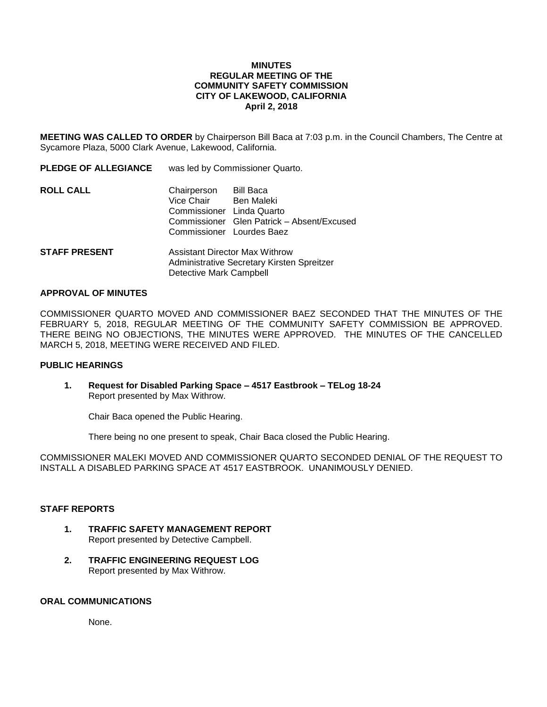#### **MINUTES REGULAR MEETING OF THE COMMUNITY SAFETY COMMISSION CITY OF LAKEWOOD, CALIFORNIA April 2, 2018**

**MEETING WAS CALLED TO ORDER** by Chairperson Bill Baca at 7:03 p.m. in the Council Chambers, The Centre at Sycamore Plaza, 5000 Clark Avenue, Lakewood, California.

| <b>PLEDGE OF ALLEGIANCE</b> | was led by Commissioner Quarto.                                                                          |                                            |
|-----------------------------|----------------------------------------------------------------------------------------------------------|--------------------------------------------|
| <b>ROLL CALL</b>            | Chairperson Bill Baca<br>Vice Chair Ben Maleki<br>Commissioner Linda Quarto<br>Commissioner Lourdes Baez | Commissioner Glen Patrick - Absent/Excused |
| <b>STAFF PRESENT</b>        | <b>Assistant Director Max Withrow</b>                                                                    |                                            |

# Administrative Secretary Kirsten Spreitzer Detective Mark Campbell

## **APPROVAL OF MINUTES**

COMMISSIONER QUARTO MOVED AND COMMISSIONER BAEZ SECONDED THAT THE MINUTES OF THE FEBRUARY 5, 2018, REGULAR MEETING OF THE COMMUNITY SAFETY COMMISSION BE APPROVED. THERE BEING NO OBJECTIONS, THE MINUTES WERE APPROVED. THE MINUTES OF THE CANCELLED MARCH 5, 2018, MEETING WERE RECEIVED AND FILED.

## **PUBLIC HEARINGS**

**1. Request for Disabled Parking Space – 4517 Eastbrook – TELog 18-24** Report presented by Max Withrow.

Chair Baca opened the Public Hearing.

There being no one present to speak, Chair Baca closed the Public Hearing.

COMMISSIONER MALEKI MOVED AND COMMISSIONER QUARTO SECONDED DENIAL OF THE REQUEST TO INSTALL A DISABLED PARKING SPACE AT 4517 EASTBROOK. UNANIMOUSLY DENIED.

#### **STAFF REPORTS**

- **1. TRAFFIC SAFETY MANAGEMENT REPORT** Report presented by Detective Campbell.
- **2. TRAFFIC ENGINEERING REQUEST LOG** Report presented by Max Withrow.

## **ORAL COMMUNICATIONS**

None.